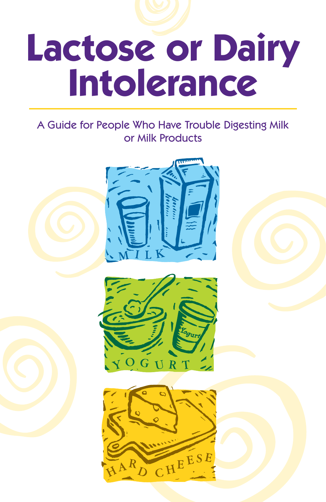

# **Lactose or Dairy Intolerance**

#### A Guide for People Who Have Trouble Digesting Milk or Milk Products



 $\mathbf{A}^{\mathbf{R}}$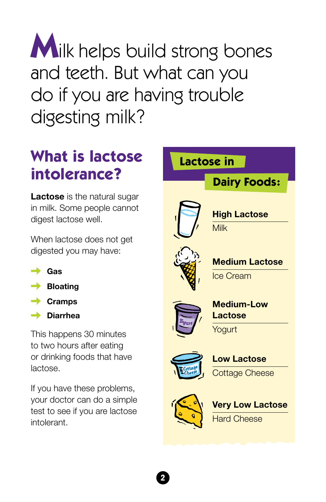**M**ilk helps build strong bones and teeth. But what can you do if you are having trouble digesting milk?

#### **What is lactose intolerance?**

**Lactose** is the natural sugar in milk. Some people cannot digest lactose well.

When lactose does not get digested you may have:

- **Gas**
- **→** Bloating
- **Cramps**
- **Diarrhea**

This happens 30 minutes to two hours after eating or drinking foods that have lactose.

If you have these problems, your doctor can do a simple test to see if you are lactose intolerant.

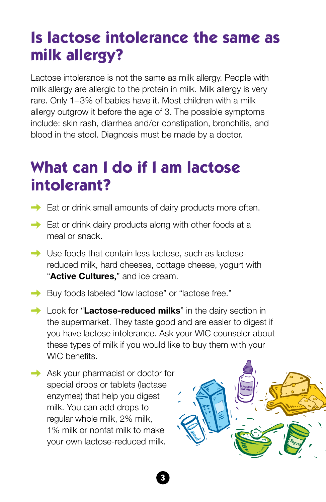#### **Is lactose intolerance the same as milk allergy?**

Lactose intolerance is not the same as milk allergy. People with milk allergy are allergic to the protein in milk. Milk allergy is very rare. Only 1– 3% of babies have it. Most children with a milk allergy outgrow it before the age of 3. The possible symptoms include: skin rash, diarrhea and/or constipation, bronchitis, and blood in the stool. Diagnosis must be made by a doctor.

#### **What can I do if I am lactose intolerant?**

- $\rightarrow$  Eat or drink small amounts of dairy products more often.
- $\rightarrow$  Eat or drink dairy products along with other foods at a meal or snack.
- Use foods that contain less lactose, such as lactosereduced milk, hard cheeses, cottage cheese, yogurt with "**Active Cultures,**" and ice cream.
- Buy foods labeled "low lactose" or "lactose free."
- **Example 2** Look for "**Lactose-reduced milks**" in the dairy section in the supermarket. They taste good and are easier to digest if you have lactose intolerance. Ask your WIC counselor about these types of milk if you would like to buy them with your WIC benefits.
- Ask your pharmacist or doctor for special drops or tablets (lactase enzymes) that help you digest milk. You can add drops to regular whole milk, 2% milk, 1% milk or nonfat milk to make your own lactose-reduced milk.



3